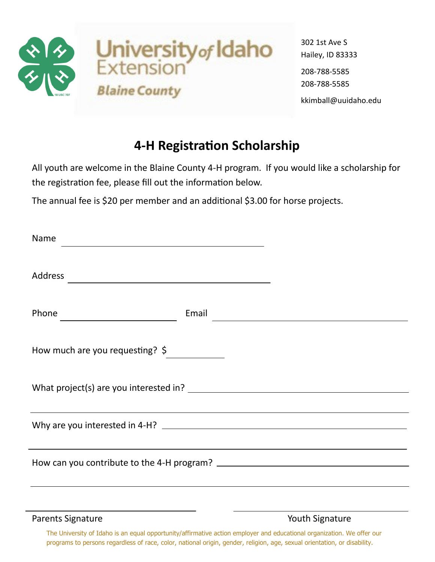

302 1st Ave S Hailey, ID 83333 208-788-5585 208-788-5585 kkimball@uuidaho.edu

## **4-H Registration Scholarship**

All youth are welcome in the Blaine County 4-H program. If you would like a scholarship for the registration fee, please fill out the information below.

The annual fee is \$20 per member and an additional \$3.00 for horse projects.

| Name<br><u> 1980 - Johann Barbara, martxa alemaniar argametra (h. 1980).</u> |       |                                                                        |  |
|------------------------------------------------------------------------------|-------|------------------------------------------------------------------------|--|
| Address                                                                      |       |                                                                        |  |
| Phone                                                                        | Email | <u> 1989 - Johann Barn, mars eta bainar eta politikaria (h. 1989).</u> |  |
| How much are you requesting? \$                                              |       |                                                                        |  |
|                                                                              |       |                                                                        |  |
|                                                                              |       |                                                                        |  |
|                                                                              |       |                                                                        |  |
|                                                                              |       |                                                                        |  |

Parents Signature The Contract of the Vouth Signature Parents Signature

The University of Idaho is an equal opportunity/affirmative action employer and educational organization. We offer our programs to persons regardless of race, color, national origin, gender, religion, age, sexual orientation, or disability.